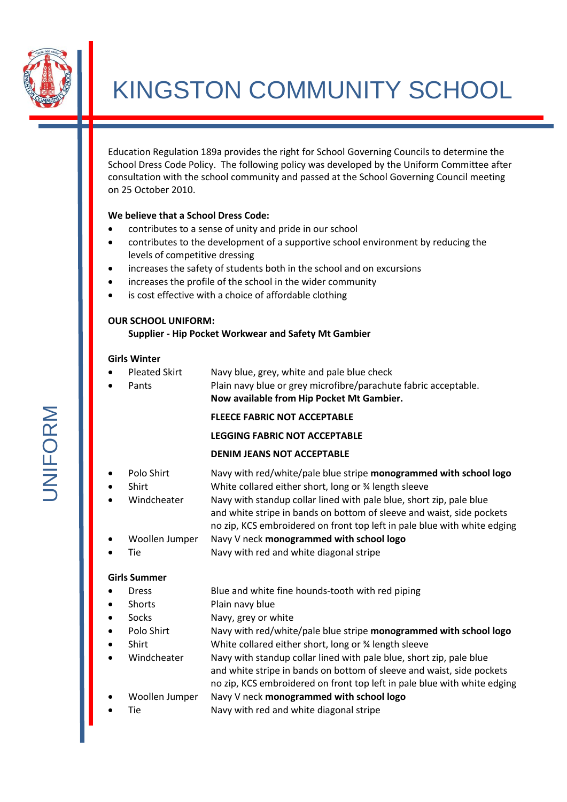

# KINGSTON COMMUNITY SCHOOL

Education Regulation 189a provides the right for School Governing Councils to determine the School Dress Code Policy. The following policy was developed by the Uniform Committee after consultation with the school community and passed at the School Governing Council meeting on 25 October 2010.

#### **We believe that a School Dress Code:**

- contributes to a sense of unity and pride in our school
- contributes to the development of a supportive school environment by reducing the levels of competitive dressing
- increases the safety of students both in the school and on excursions
- increases the profile of the school in the wider community
- is cost effective with a choice of affordable clothing

#### **OUR SCHOOL UNIFORM:**

#### **Supplier - Hip Pocket Workwear and Safety Mt Gambier**

#### **Girls Winter**

Pleated Skirt Navy blue, grey, white and pale blue check Pants Plain navy blue or grey microfibre/parachute fabric acceptable. **Now available from Hip Pocket Mt Gambier.**

#### **FLEECE FABRIC NOT ACCEPTABLE**

# **LEGGING FABRIC NOT ACCEPTABLE**

# **DENIM JEANS NOT ACCEPTABLE**

- Polo Shirt Navy with red/white/pale blue stripe **monogrammed with school logo**
- Shirt White collared either short, long or % length sleeve
- Windcheater Navy with standup collar lined with pale blue, short zip, pale blue
- and white stripe in bands on bottom of sleeve and waist, side pockets no zip, KCS embroidered on front top left in pale blue with white edging
- Woollen Jumper Navy V neck **monogrammed with school logo**
- Tie Navy with red and white diagonal stripe

#### **Girls Summer**

- Dress Blue and white fine hounds-tooth with red piping
- Shorts Plain navy blue
- Socks Navy, grey or white
- Polo Shirt Navy with red/white/pale blue stripe **monogrammed with school logo**
- Shirt White collared either short, long or % length sleeve
- Windcheater Navy with standup collar lined with pale blue, short zip, pale blue
	- and white stripe in bands on bottom of sleeve and waist, side pockets no zip, KCS embroidered on front top left in pale blue with white edging
- Woollen Jumper Navy V neck **monogrammed with school logo**
- Tie Navy with red and white diagonal stripe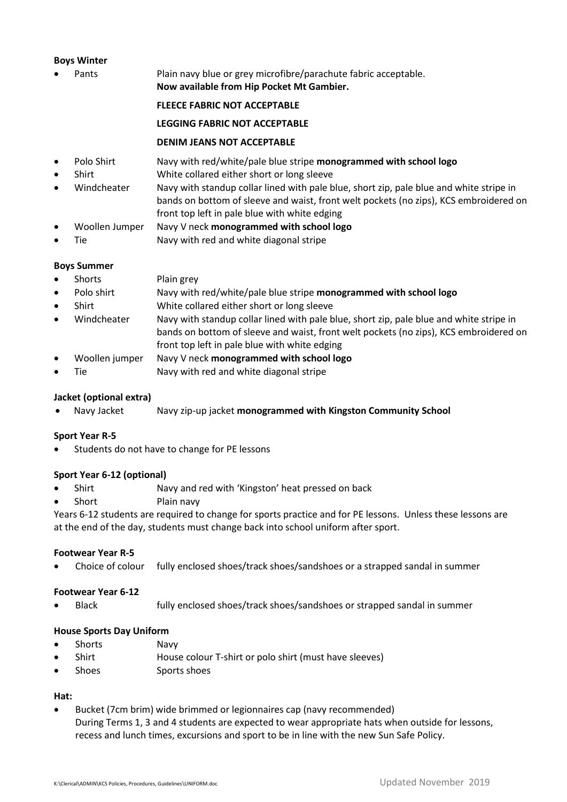#### **Boys Winter**

Pants Plain navy blue or grey microfibre/parachute fabric acceptable. **Now available from Hip Pocket Mt Gambier.**

#### **FLEECE FABRIC NOT ACCEPTABLE**

#### **LEGGING FABRIC NOT ACCEPTABLE**

#### **DENIM JEANS NOT ACCEPTABLE**

- Polo Shirt Navy with red/white/pale blue stripe **monogrammed with school logo**
- Shirt White collared either short or long sleeve
- Windcheater Navy with standup collar lined with pale blue, short zip, pale blue and white stripe in bands on bottom of sleeve and waist, front welt pockets (no zips), KCS embroidered on front top left in pale blue with white edging
- Woollen Jumper Navy V neck **monogrammed with school logo**
- Tie Navy with red and white diagonal stripe

#### **Boys Summer**

- Shorts Plain grey
- Polo shirt Navy with red/white/pale blue stripe **monogrammed with school logo**
- Shirt White collared either short or long sleeve
- Windcheater Navy with standup collar lined with pale blue, short zip, pale blue and white stripe in bands on bottom of sleeve and waist, front welt pockets (no zips), KCS embroidered on front top left in pale blue with white edging
- Woollen jumper Navy V neck **monogrammed with school logo**
- Tie Navy with red and white diagonal stripe

### **Jacket (optional extra)**

Navy Jacket Navy zip-up jacket **monogrammed with Kingston Community School**

#### **Sport Year R-5**

Students do not have to change for PE lessons

#### **Sport Year 6-12 (optional)**

- Shirt Navy and red with 'Kingston' heat pressed on back
- Short Plain navy

Years 6-12 students are required to change for sports practice and for PE lessons. Unless these lessons are at the end of the day, students must change back into school uniform after sport.

#### **Footwear Year R-5**

Choice of colour fully enclosed shoes/track shoes/sandshoes or a strapped sandal in summer

#### **Footwear Year 6-12**

Black fully enclosed shoes/track shoes/sandshoes or strapped sandal in summer

#### **House Sports Day Uniform**

- Shorts Navy
- Shirt House colour T-shirt or polo shirt (must have sleeves)
- Shoes Sports shoes

# **Hat:**

 Bucket (7cm brim) wide brimmed or legionnaires cap (navy recommended) During Terms 1, 3 and 4 students are expected to wear appropriate hats when outside for lessons, recess and lunch times, excursions and sport to be in line with the new Sun Safe Policy.